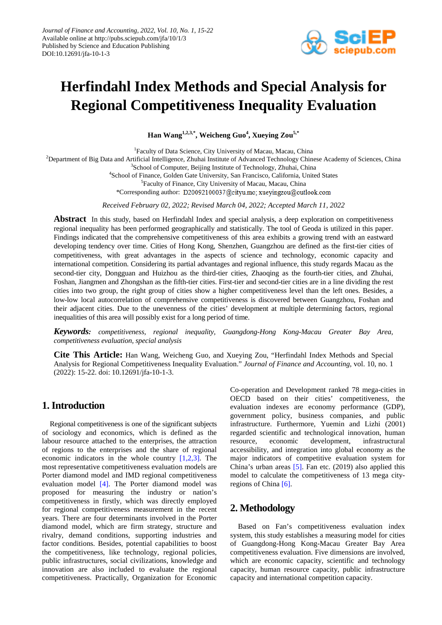

# **Herfindahl Index Methods and Special Analysis for Regional Competitiveness Inequality Evaluation**

**Han Wang1,2,3,\* , Weicheng Guo<sup>4</sup> , Xueying Zou5,\***

1 Faculty of Data Science, City University of Macau, Macau, China <sup>2</sup>Department of Big Data and Artificial Intelligence, Zhuhai Institute of Advanced Technology Chinese Academy of Sciences, China <sup>3</sup>School of Computer, Beijing Institute of Technology, Zhuhai, China 4 School of Finance, Golden Gate University, San Francisco, California, United States <sup>5</sup>Faculty of Finance, City University of Macau, Macau, China \*Corresponding author: D20092100037@cityu.mo; xueyingzou@outlook.com

*Received February 02, 2022; Revised March 04, 2022; Accepted March 11, 2022*

**Abstract** In this study, based on Herfindahl Index and special analysis, a deep exploration on competitiveness regional inequality has been performed geographically and statistically. The tool of Geoda is utilized in this paper. Findings indicated that the comprehensive competitiveness of this area exhibits a growing trend with an eastward developing tendency over time. Cities of Hong Kong, Shenzhen, Guangzhou are defined as the first-tier cities of competitiveness, with great advantages in the aspects of science and technology, economic capacity and international competition. Considering its partial advantages and regional influence, this study regards Macau as the second-tier city, Dongguan and Huizhou as the third-tier cities, Zhaoqing as the fourth-tier cities, and Zhuhai, Foshan, Jiangmen and Zhongshan as the fifth-tier cities. First-tier and second-tier cities are in a line dividing the rest cities into two group, the right group of cities show a higher competitiveness level than the left ones. Besides, a low-low local autocorrelation of comprehensive competitiveness is discovered between Guangzhou, Foshan and their adjacent cities. Due to the unevenness of the cities' development at multiple determining factors, regional inequalities of this area will possibly exist for a long period of time.

*Keywords: competitiveness, regional inequality, Guangdong-Hong Kong-Macau Greater Bay Area, competitiveness evaluation, special analysis*

**Cite This Article:** Han Wang, Weicheng Guo, and Xueying Zou, "Herfindahl Index Methods and Special Analysis for Regional Competitiveness Inequality Evaluation." *Journal of Finance and Accounting*, vol. 10, no. 1 (2022): 15-22. doi: 10.12691/jfa-10-1-3.

### **1. Introduction**

Regional competitiveness is one of the significant subjects of sociology and economics, which is defined as the labour resource attached to the enterprises, the attraction of regions to the enterprises and the share of regional economic indicators in the whole country [\[1,2,3\].](#page-7-0) The most representative competitiveness evaluation models are Porter diamond model and IMD regional competitiveness evaluation model [\[4\].](#page-7-1) The Porter diamond model was proposed for measuring the industry or nation's competitiveness in firstly, which was directly employed for regional competitiveness measurement in the recent years. There are four determinants involved in the Porter diamond model, which are firm strategy, structure and rivalry, demand conditions, supporting industries and factor conditions. Besides, potential capabilities to boost the competitiveness, like technology, regional policies, public infrastructures, social civilizations, knowledge and innovation are also included to evaluate the regional competitiveness. Practically, Organization for Economic Co-operation and Development ranked 78 mega-cities in OECD based on their cities' competitiveness, the evaluation indexes are economy performance (GDP), government policy, business companies, and public infrastructure. Furthermore, Yuemin and Lizhi (2001) regarded scientific and technological innovation, human resource, economic development, infrastructural accessibility, and integration into global economy as the major indicators of competitive evaluation system for China's urban areas [\[5\].](#page-7-2) Fan etc. (2019) also applied this model to calculate the competitiveness of 13 mega cityregions of China [\[6\].](#page-7-3)

# **2. Methodology**

Based on Fan's competitiveness evaluation index system, this study establishes a measuring model for cities of Guangdong-Hong Kong-Macau Greater Bay Area competitiveness evaluation. Five dimensions are involved, which are economic capacity, scientific and technology capacity, human resource capacity, public infrastructure capacity and international competition capacity.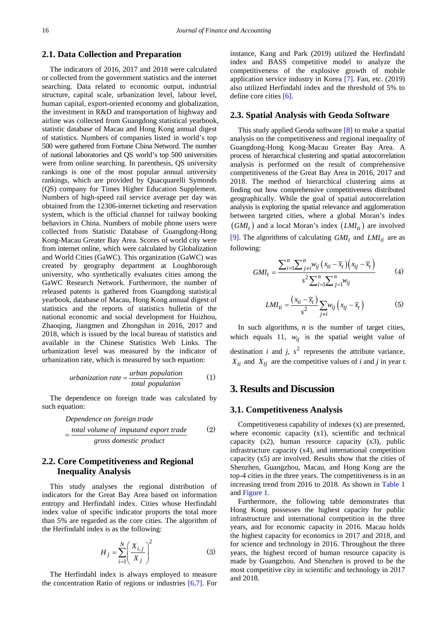### **2.1. Data Collection and Preparation**

The indicators of 2016, 2017 and 2018 were calculated or collected from the government statistics and the internet searching. Data related to economic output, industrial structure, capital scale, urbanization level, labour level, human capital, export-oriented economy and globalization, the investment in R&D and transportation of highway and airline was collected from Guangdong statistical yearbook, statistic database of Macau and Hong Kong annual digest of statistics. Numbers of companies listed in world's top 500 were gathered from Fortune China Netword. The number of national laboratories and QS world's top 500 universities were from online searching. In parenthesis, QS university rankings is one of the most popular annual university rankings, which are provided by Quacquarelli Symonds (QS) company for Times Higher Education Supplement. Numbers of high-speed rail service average per day was obtained from the 12306-internet ticketing and reservation system, which is the official channel for railway booking behaviors in China. Numbers of mobile phone users were collected from Statistic Database of Guangdong-Hong Kong-Macau Greater Bay Area. Scores of world city were from internet online, which were calculated by Globalization and World Cities (GaWC). This organization (GaWC) was created by geography department at Loughborough university, who synthetically evaluates cities among the GaWC Research Network. Furthermore, the number of released patents is gathered from Guangdong statistical yearbook, database of Macau, Hong Kong annual digest of statistics and the reports of statistics bulletin of the national economic and social development for Huizhou, Zhaoqing, Jiangmen and Zhongshan in 2016, 2017 and 2018, which is issued by the local bureau of statistics and available in the Chinese Statistics Web Links. The urbanization level was measured by the indicator of urbanization rate, which is measured by such equation:

$$
urbanization rate = \frac{urban\ population}{total\ population} \tag{1}
$$

The dependence on foreign trade was calculated by such equation:

Dependence on foreign trade

\n
$$
= \frac{\text{total volume of imputand export trade}}{\text{gross domestic product}}
$$
\n
$$
(2)
$$

### **2.2. Core Competitiveness and Regional Inequality Analysis**

This study analyses the regional distribution of indicators for the Great Bay Area based on information entropy and Herfindahl index. Cities whose Herfindahl index value of specific indicator proports the total more than 5% are regarded as the core cities. The algorithm of the Herfindahl index is as the following:

$$
H_j = \sum_{i=1}^{N} \left(\frac{X_{i,j}}{X_j}\right)^2
$$
 (3)

The Herfindahl index is always employed to measure the concentration Ratio of regions or industries [\[6,7\].](#page-7-3) For instance, Kang and Park (2019) utilized the Herfindahl index and BASS competitive model to analyze the competitiveness of the explosive growth of mobile application service industry in Korea [\[7\].](#page-7-4) Fan, etc. (2019) also utilized Herfindahl index and the threshold of 5% to define core cities [\[6\].](#page-7-3)

#### **2.3. Spatial Analysis with Geoda Software**

This study applied Geoda software [\[8\]](#page-7-5) to make a spatial analysis on the competitiveness and regional inequality of Guangdong-Hong Kong-Macau Greater Bay Area. A process of hierarchical clustering and spatial autocorrelation analysis is performed on the result of comprehensive competitiveness of the Great Bay Area in 2016, 2017 and 2018. The method of hierarchical clustering aims at finding out how comprehensive competitiveness distributed geographically. While the goal of spatial autocorrelation analysis is exploring the spatial relevance and agglomeration between targeted cities, where a global Moran's index  $(GMI_t)$  and a local Moran's index  $(LMI_{ti})$  are involved [\[9\].](#page-7-6) The algorithms of calculating  $GMI_t$  and  $LMI_{ti}$  are as following:

$$
GMI_{t} = \frac{\sum_{i=1}^{n} \sum_{j\neq i}^{n} w_{ij} (x_{ti} - \overline{x}_{t}) (x_{tj} - \overline{x}_{t})}{s^{2} \sum_{i=1}^{n} \sum_{j=1}^{n} w_{ij}}
$$
(4)

$$
LMI_{ti} = \frac{(x_{ti} - \overline{x}_t)}{s^2} \sum_{j \neq i} w_{ij} \left( x_{tj} - \overline{x}_t \right)
$$
 (5)

In such algorithms,  $n$  is the number of target cities, which equals 11,  $w_{ii}$  is the spatial weight value of destination *i* and *j*,  $s^2$  represents the attribute variance,  $X_{ti}$  and  $X_{ti}$  are the competitive values of *i* and *j* in year *t*.

## **3. Results and Discussion**

#### **3.1. Competitiveness Analysis**

Competitiveness capability of indexes (x) are presented, where economic capacity (x1), scientific and technical capacity (x2), human resource capacity (x3), public infrastructure capacity (x4), and international competition capacity (x5) are involved. Results show that the cities of Shenzhen, Guangzhou, Macau, and Hong Kong are the top-4 cities in the three years. The competitiveness is in an increasing trend from 2016 to 2018. As shown in [Table 1](#page-2-0) and [Figure 1.](#page-2-1)

Furthermore, the following table demonstrates that Hong Kong possesses the highest capacity for public infrastructure and international competition in the three years, and for economic capacity in 2016. Macau holds the highest capacity for economics in 2017 and 2018, and for science and technology in 2016. Throughout the three years, the highest record of human resource capacity is made by Guangzhou. And Shenzhen is proved to be the most competitive city in scientific and technology in 2017 and 2018.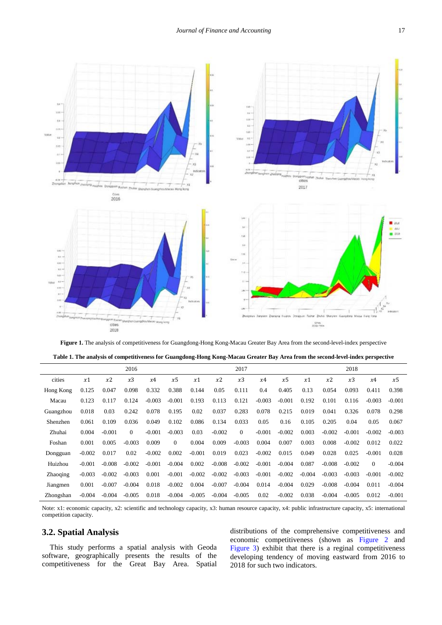<span id="page-2-1"></span>

**Figure 1.** The analysis of competitiveness for Guangdong-Hong Kong-Macau Greater Bay Area from the second-level-index perspective

| Table 1. The analysis of competitiveness for Guangdong-Hong Kong-Macau Greater Bay Area from the second-level-index perspective |  |  |  |  |  |  |
|---------------------------------------------------------------------------------------------------------------------------------|--|--|--|--|--|--|
|                                                                                                                                 |  |  |  |  |  |  |
|                                                                                                                                 |  |  |  |  |  |  |
|                                                                                                                                 |  |  |  |  |  |  |

<span id="page-2-0"></span>

|                 |          |          | 2016     |          |          |          |          | 2017     |          |          |          |          | 2018     |          |          |
|-----------------|----------|----------|----------|----------|----------|----------|----------|----------|----------|----------|----------|----------|----------|----------|----------|
| cities          | x1       | x2       | x3       | x4       | x5       | x1       | x2       | x3       | x4       | x5       | x1       | x2       | x3       | x4       | x5       |
| Hong Kong       | 0.125    | 0.047    | 0.098    | 0.332    | 0.388    | 0.144    | 0.05     | 0.111    | 0.4      | 0.405    | 0.13     | 0.054    | 0.093    | 0.411    | 0.398    |
| Macau           | 0.123    | 0.117    | 0.124    | $-0.003$ | $-0.001$ | 0.193    | 0.113    | 0.121    | $-0.003$ | $-0.001$ | 0.192    | 0.101    | 0.116    | $-0.003$ | $-0.001$ |
| Guangzhou       | 0.018    | 0.03     | 0.242    | 0.078    | 0.195    | 0.02     | 0.037    | 0.283    | 0.078    | 0.215    | 0.019    | 0.041    | 0.326    | 0.078    | 0.298    |
| Shenzhen        | 0.061    | 0.109    | 0.036    | 0.049    | 0.102    | 0.086    | 0.134    | 0.033    | 0.05     | 0.16     | 0.105    | 0.205    | 0.04     | 0.05     | 0.067    |
| Zhuhai          | 0.004    | $-0.001$ | $\Omega$ | $-0.001$ | $-0.003$ | 0.03     | $-0.002$ | $\Omega$ | $-0.001$ | $-0.002$ | 0.003    | $-0.002$ | $-0.001$ | $-0.002$ | $-0.003$ |
| Foshan          | 0.001    | 0.005    | $-0.003$ | 0.009    | $\Omega$ | 0.004    | 0.009    | $-0.003$ | 0.004    | 0.007    | 0.003    | 0.008    | $-0.002$ | 0.012    | 0.022    |
| Dongguan        | $-0.002$ | 0.017    | 0.02     | $-0.002$ | 0.002    | $-0.001$ | 0.019    | 0.023    | $-0.002$ | 0.015    | 0.049    | 0.028    | 0.025    | $-0.001$ | 0.028    |
| Huizhou         | $-0.001$ | $-0.008$ | $-0.002$ | $-0.001$ | $-0.004$ | 0.002    | $-0.008$ | $-0.002$ | $-0.001$ | $-0.004$ | 0.087    | $-0.008$ | $-0.002$ | $\Omega$ | $-0.004$ |
| <b>Zhaoging</b> | $-0.003$ | $-0.002$ | $-0.003$ | 0.001    | $-0.001$ | $-0.002$ | $-0.002$ | $-0.003$ | $-0.001$ | $-0.002$ | $-0.004$ | $-0.003$ | $-0.003$ | $-0.001$ | $-0.002$ |
| Jiangmen        | 0.001    | $-0.007$ | $-0.004$ | 0.018    | $-0.002$ | 0.004    | $-0.007$ | $-0.004$ | 0.014    | $-0.004$ | 0.029    | $-0.008$ | $-0.004$ | 0.011    | $-0.004$ |
| Zhongshan       | $-0.004$ | $-0.004$ | $-0.005$ | 0.018    | $-0.004$ | $-0.005$ | $-0.004$ | $-0.005$ | 0.02     | $-0.002$ | 0.038    | $-0.004$ | $-0.005$ | 0.012    | $-0.001$ |

Note: x1: economic capacity, x2: scientific and technology capacity, x3: human resource capacity, x4: public infrastructure capacity, x5: international competition capacity.

# **3.2. Spatial Analysis**

This study performs a spatial analysis with Geoda software, geographically presents the results of the competitiveness for the Great Bay Area. Spatial distributions of the comprehensive competitiveness and economic competitiveness (shown as [Figure 2](#page-3-0) and [Figure 3\)](#page-3-1) exhibit that there is a reginal competitiveness developing tendency of moving eastward from 2016 to 2018 for such two indicators.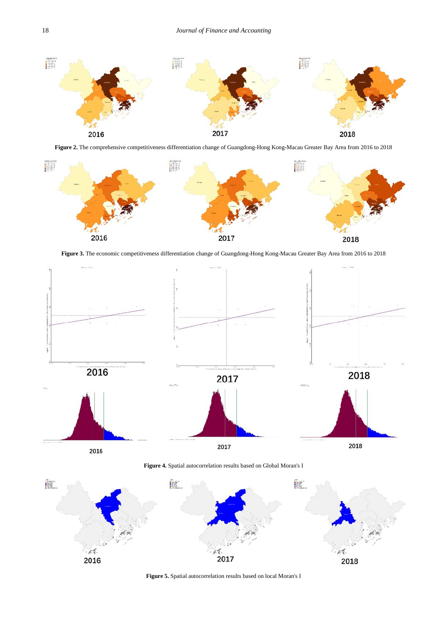<span id="page-3-0"></span>

**Figure 2.** The comprehensive competitiveness differentiation change of Guangdong-Hong Kong-Macau Greater Bay Area from 2016 to 2018

<span id="page-3-1"></span>

**Figure 3.** The economic competitiveness differentiation change of Guangdong-Hong Kong-Macau Greater Bay Area from 2016 to 2018

<span id="page-3-2"></span>

**Figure 4.** Spatial autocorrelation results based on Global Moran's I

<span id="page-3-3"></span>

**Figure 5.** Spatial autocorrelation results based on local Moran's I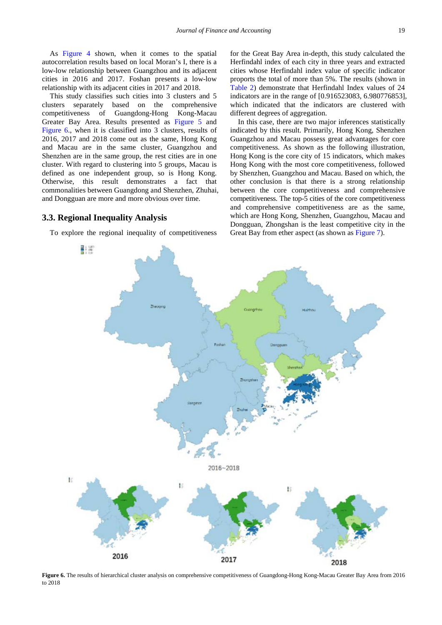As [Figure 4](#page-3-2) shown, when it comes to the spatial autocorrelation results based on local Moran's I, there is a low-low relationship between Guangzhou and its adjacent cities in 2016 and 2017. Foshan presents a low-low relationship with its adjacent cities in 2017 and 2018.

This study classifies such cities into 3 clusters and 5 clusters separately based on the comprehensive competitiveness of Guangdong-Hong Kong-Macau Greater Bay Area. Results presented as [Figure 5](#page-3-3) and [Figure 6.](#page-4-0), when it is classified into 3 clusters, results of 2016, 2017 and 2018 come out as the same, Hong Kong and Macau are in the same cluster, Guangzhou and Shenzhen are in the same group, the rest cities are in one cluster. With regard to clustering into 5 groups, Macau is defined as one independent group, so is Hong Kong. Otherwise, this result demonstrates a fact that commonalities between Guangdong and Shenzhen, Zhuhai, and Dongguan are more and more obvious over time.

#### **3.3. Regional Inequality Analysis**

副脚

<span id="page-4-0"></span>To explore the regional inequality of competitiveness

for the Great Bay Area in-depth, this study calculated the Herfindahl index of each city in three years and extracted cities whose Herfindahl index value of specific indicator proports the total of more than 5%. The results (shown in [Table 2\)](#page-5-0) demonstrate that Herfindahl Index values of 24 indicators are in the range of [0.916523083, 6.980776853], which indicated that the indicators are clustered with different degrees of aggregation.

In this case, there are two major inferences statistically indicated by this result. Primarily, Hong Kong, Shenzhen Guangzhou and Macau possess great advantages for core competitiveness. As shown as the following illustration, Hong Kong is the core city of 15 indicators, which makes Hong Kong with the most core competitiveness, followed by Shenzhen, Guangzhou and Macau. Based on which, the other conclusion is that there is a strong relationship between the core competitiveness and comprehensive competitiveness. The top-5 cities of the core competitiveness and comprehensive competitiveness are as the same, which are Hong Kong, Shenzhen, Guangzhou, Macau and Dongguan, Zhongshan is the least competitive city in the Great Bay from ether aspect (as shown as [Figure 7\)](#page-5-1).



**Figure 6.** The results of hierarchical cluster analysis on comprehensive competitiveness of Guangdong-Hong Kong-Macau Greater Bay Area from 2016 to 2018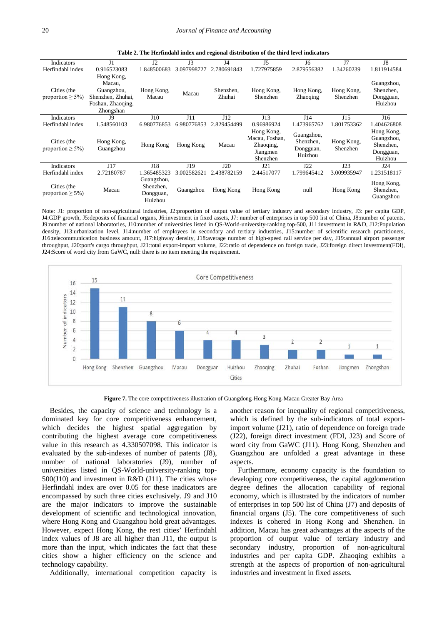<span id="page-5-0"></span>

| Indicators                           | J <sub>1</sub>          | J2                                              | J <sub>3</sub> | J4                  | J5                                                                | J6                                              | J7                     | J8                                                            |  |  |  |
|--------------------------------------|-------------------------|-------------------------------------------------|----------------|---------------------|-------------------------------------------------------------------|-------------------------------------------------|------------------------|---------------------------------------------------------------|--|--|--|
| Herfindahl index                     | 0.916523083             | 1.848500683                                     | 3.097998727    | 2.780691843         | 1.727975859                                                       | 2.879556382                                     | 1.34260239             | 1.811914584                                                   |  |  |  |
|                                      | Hong Kong,<br>Macau.    |                                                 |                |                     |                                                                   |                                                 |                        | Guangzhou,                                                    |  |  |  |
| Cities (the                          | Guangzhou,              | Hong Kong,                                      | Macau          | Shenzhen.<br>Zhuhai | Hong Kong,                                                        | Hong Kong,<br><b>Zhaoqing</b>                   | Hong Kong,<br>Shenzhen | Shenzhen,                                                     |  |  |  |
| proportion $\geq 5\%$ )              | Shenzhen, Zhuhai,       | Macau                                           |                |                     | Shenzhen                                                          |                                                 |                        | Dongguan,                                                     |  |  |  |
|                                      | Foshan, Zhaoqing,       |                                                 |                |                     |                                                                   |                                                 |                        | Huizhou                                                       |  |  |  |
|                                      | Zhongshan               |                                                 |                |                     |                                                                   |                                                 |                        |                                                               |  |  |  |
| Indicators                           | J9                      | J10                                             | J11            | J12                 | J13                                                               | J14                                             | J15                    | J16                                                           |  |  |  |
| Herfindahl index                     | 1.548560103             | 6.980776853                                     | 6.980776853    | 2.829454499         | 0.96986924                                                        | 1.473965762                                     | 1.801753362            | 1.404626808                                                   |  |  |  |
| Cities (the<br>proportion $\geq$ 5%) | Hong Kong,<br>Guangzhou | Hong Kong                                       | Hong Kong      | Macau               | Hong Kong,<br>Macau, Foshan,<br>Zhaoqing,<br>Jiangmen<br>Shenzhen | Guangzhou,<br>Shenzhen,<br>Dongguan,<br>Huizhou | Hong Kong,<br>Shenzhen | Hong Kong,<br>Guangzhou,<br>Shenzhen,<br>Dongguan,<br>Huizhou |  |  |  |
| Indicators                           | J17                     | J18                                             | J19            | J20                 | J21                                                               | J22                                             | J23                    | J24                                                           |  |  |  |
| Herfindahl index                     | 2.72180787              | 1.365485323                                     | 3.002582621    | 2.438782159         | 2.44517077                                                        | 1.799645412                                     | 3.009935947            | 1.231518117                                                   |  |  |  |
| Cities (the<br>proportion $\geq$ 5%) | Macau                   | Guangzhou,<br>Shenzhen,<br>Dongguan,<br>Huizhou | Guangzhou      | Hong Kong           | Hong Kong                                                         | null                                            | Hong Kong              | Hong Kong,<br>Shenzhen,<br>Guangzhou                          |  |  |  |

**Table 2. The Herfindahl index and regional distribution of the third level indicators**

Note: J1: proportion of non-agricultural industries, J2:proportion of output value of tertiary industry and secondary industry, J3: per capita GDP, J4:GDP growth, J5:deposits of financial organs, J6:investment in fixed assets, J7: number of enterprises in top 500 list of China, J8:number of patents, J9:number of national laboratories, J10:number of universities listed in QS-World-university-ranking top-500, J11:investment in R&D, J12:Population density, J13:urbanization level, J14:number of employees in secondary and tertiary industries, J15:number of scientific research practitioners, J16:telecommunication business amount, J17:highway density, J18:average number of high-speed rail service per day, J19:annual airport passenger throughput, J20:port's cargo throughput, J21:total export-import volume, J22:ratio of dependence on foreign trade, J23:foreign direct investment(FDI), J24:Score of word city from GaWC, null: there is no item meeting the requirement.

<span id="page-5-1"></span>

**Figure 7.** The core competitiveness illustration of Guangdong-Hong Kong-Macau Greater Bay Area

Besides, the capacity of science and technology is a dominated key for core competitiveness enhancement, which decides the highest spatial aggregation by contributing the highest average core competitiveness value in this research as 4.330507098. This indicator is evaluated by the sub-indexes of number of patents (J8), number of national laboratories (J9), number of universities listed in QS-World-university-ranking top-500(J10) and investment in R&D (J11). The cities whose Herfindahl index are over 0.05 for these inadicators are encompassed by such three cities exclusively. J9 and J10 are the major indicators to improve the sustainable development of scientific and technological innovation, where Hong Kong and Guangzhou hold great advantages. However, expect Hong Kong, the rest cities' Herfindahl index values of J8 are all higher than J11, the output is more than the input, which indicates the fact that these cities show a higher efficiency on the science and technology capability.

Additionally, international competition capacity is

another reason for inequality of regional competitiveness, which is defined by the sub-indicators of total exportimport volume (J21), ratio of dependence on foreign trade (J22), foreign direct investment (FDI, J23) and Score of word city from GaWC (J11). Hong Kong, Shenzhen and Guangzhou are unfolded a great advantage in these aspects.

Furthermore, economy capacity is the foundation to developing core competitiveness, the capital agglomeration degree defines the allocation capability of regional economy, which is illustrated by the indicators of number of enterprises in top 500 list of China (J7) and deposits of financial organs (J5). The core competitiveness of such indexes is cohered in Hong Kong and Shenzhen. In addition, Macau has great advantages at the aspects of the proportion of output value of tertiary industry and secondary industry, proportion of non-agricultural industries and per capita GDP. Zhaoqing exhibits a strength at the aspects of proportion of non-agricultural industries and investment in fixed assets.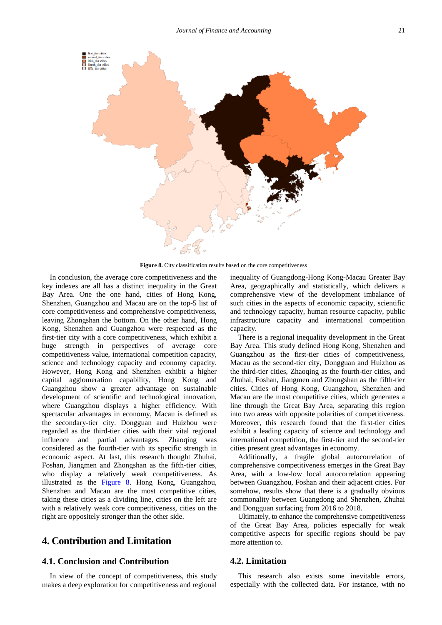<span id="page-6-0"></span>

**Figure 8.** City classification results based on the core competitiveness

In conclusion, the average core competitiveness and the key indexes are all has a distinct inequality in the Great Bay Area. One the one hand, cities of Hong Kong, Shenzhen, Guangzhou and Macau are on the top-5 list of core competitiveness and comprehensive competitiveness, leaving Zhongshan the bottom. On the other hand, Hong Kong, Shenzhen and Guangzhou were respected as the first-tier city with a core competitiveness, which exhibit a huge strength in perspectives of average core competitiveness value, international competition capacity, science and technology capacity and economy capacity. However, Hong Kong and Shenzhen exhibit a higher capital agglomeration capability, Hong Kong and Guangzhou show a greater advantage on sustainable development of scientific and technological innovation, where Guangzhou displays a higher efficiency. With spectacular advantages in economy, Macau is defined as the secondary-tier city. Dongguan and Huizhou were regarded as the third-tier cities with their vital regional influence and partial advantages. Zhaoqing was considered as the fourth-tier with its specific strength in economic aspect. At last, this research thought Zhuhai, Foshan, Jiangmen and Zhongshan as the fifth-tier cities, who display a relatively weak competitiveness. As illustrated as the [Figure 8.](#page-6-0) Hong Kong, Guangzhou, Shenzhen and Macau are the most competitive cities, taking these cities as a dividing line, cities on the left are with a relatively weak core competitiveness, cities on the right are oppositely stronger than the other side.

### **4. Contribution and Limitation**

#### **4.1. Conclusion and Contribution**

In view of the concept of competitiveness, this study makes a deep exploration for competitiveness and regional inequality of Guangdong-Hong Kong-Macau Greater Bay Area, geographically and statistically, which delivers a comprehensive view of the development imbalance of such cities in the aspects of economic capacity, scientific and technology capacity, human resource capacity, public infrastructure capacity and international competition capacity.

There is a regional inequality development in the Great Bay Area. This study defined Hong Kong, Shenzhen and Guangzhou as the first-tier cities of competitiveness, Macau as the second-tier city, Dongguan and Huizhou as the third-tier cities, Zhaoqing as the fourth-tier cities, and Zhuhai, Foshan, Jiangmen and Zhongshan as the fifth-tier cities. Cities of Hong Kong, Guangzhou, Shenzhen and Macau are the most competitive cities, which generates a line through the Great Bay Area, separating this region into two areas with opposite polarities of competitiveness. Moreover, this research found that the first-tier cities exhibit a leading capacity of science and technology and international competition, the first-tier and the second-tier cities present great advantages in economy.

Additionally, a fragile global autocorrelation of comprehensive competitiveness emerges in the Great Bay Area, with a low-low local autocorrelation appearing between Guangzhou, Foshan and their adjacent cities. For somehow, results show that there is a gradually obvious commonality between Guangdong and Shenzhen, Zhuhai and Dongguan surfacing from 2016 to 2018.

Ultimately, to enhance the comprehensive competitiveness of the Great Bay Area, policies especially for weak competitive aspects for specific regions should be pay more attention to.

#### **4.2. Limitation**

This research also exists some inevitable errors, especially with the collected data. For instance, with no